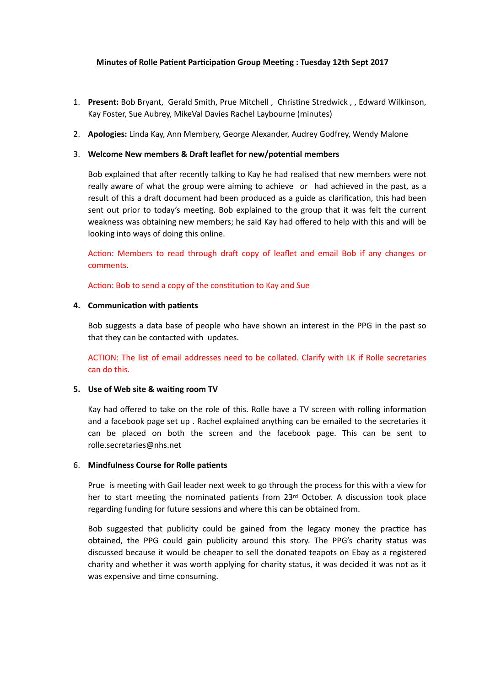# **Minutes of Rolle Patient Participation Group Meeting : Tuesday 12th Sept 2017**

- 1. Present: Bob Bryant, Gerald Smith, Prue Mitchell, Christine Stredwick, Gedward Wilkinson, Kay Foster, Sue Aubrey, MikeVal Davies Rachel Laybourne (minutes)
- 2. **Apologies:** Linda Kay, Ann Membery, George Alexander, Audrey Godfrey, Wendy Malone

## 3. Welcome New members & Draft leaflet for new/potential members

Bob explained that after recently talking to Kay he had realised that new members were not really aware of what the group were aiming to achieve or had achieved in the past, as a result of this a draft document had been produced as a guide as clarification, this had been sent out prior to today's meeting. Bob explained to the group that it was felt the current weakness was obtaining new members; he said Kay had offered to help with this and will be looking into ways of doing this online.

Action: Members to read through draft copy of leaflet and email Bob if any changes or comments.

Action: Bob to send a copy of the constitution to Kay and Sue

## **4.** Communication with patients

Bob suggests a data base of people who have shown an interest in the PPG in the past so that they can be contacted with updates.

ACTION: The list of email addresses need to be collated. Clarify with LK if Rolle secretaries can do this.

## **5.** Use of Web site & waiting room TV

Kay had offered to take on the role of this. Rolle have a TV screen with rolling information and a facebook page set up . Rachel explained anything can be emailed to the secretaries it can be placed on both the screen and the facebook page. This can be sent to rolle.secretaries@nhs.net

## 6. **Mindfulness Course for Rolle patients**

Prue is meeting with Gail leader next week to go through the process for this with a view for her to start meeting the nominated patients from  $23<sup>rd</sup>$  October. A discussion took place regarding funding for future sessions and where this can be obtained from.

Bob suggested that publicity could be gained from the legacy money the practice has obtained, the PPG could gain publicity around this story. The PPG's charity status was discussed because it would be cheaper to sell the donated teapots on Ebay as a registered charity and whether it was worth applying for charity status, it was decided it was not as it was expensive and time consuming.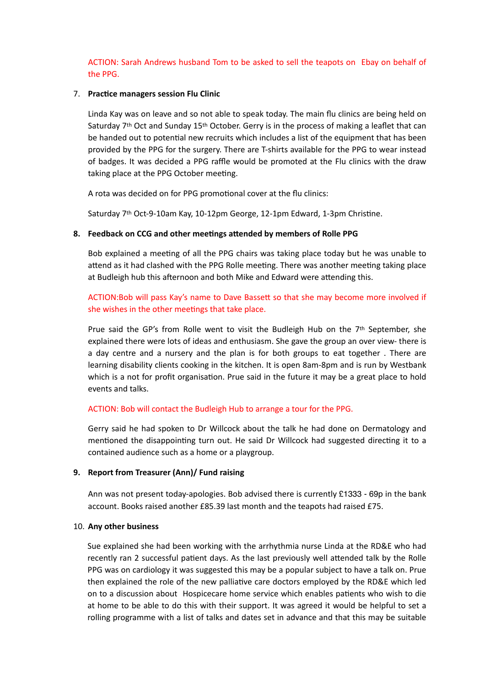ACTION: Sarah Andrews husband Tom to be asked to sell the teapots on Ebay on behalf of the PPG.

### 7. Practice managers session Flu Clinic

Linda Kay was on leave and so not able to speak today. The main flu clinics are being held on Saturday 7th Oct and Sunday 15th October. Gerry is in the process of making a leaflet that can be handed out to potential new recruits which includes a list of the equipment that has been provided by the PPG for the surgery. There are T-shirts available for the PPG to wear instead of badges. It was decided a PPG raffle would be promoted at the Flu clinics with the draw taking place at the PPG October meeting.

A rota was decided on for PPG promotional cover at the flu clinics:

Saturday 7<sup>th</sup> Oct-9-10am Kay, 10-12pm George, 12-1pm Edward, 1-3pm Christine.

### 8. Feedback on CCG and other meetings attended by members of Rolle PPG

Bob explained a meeting of all the PPG chairs was taking place today but he was unable to attend as it had clashed with the PPG Rolle meeting. There was another meeting taking place at Budleigh hub this afternoon and both Mike and Edward were attending this.

# ACTION:Bob will pass Kay's name to Dave Bassed so that she may become more involved if she wishes in the other meetings that take place.

Prue said the GP's from Rolle went to visit the Budleigh Hub on the 7th September, she explained there were lots of ideas and enthusiasm. She gave the group an over view- there is a day centre and a nursery and the plan is for both groups to eat together . There are learning disability clients cooking in the kitchen. It is open 8am-8pm and is run by Westbank which is a not for profit organisation. Prue said in the future it may be a great place to hold events and talks.

### ACTION: Bob will contact the Budleigh Hub to arrange a tour for the PPG.

Gerry said he had spoken to Dr Willcock about the talk he had done on Dermatology and mentioned the disappointing turn out. He said Dr Willcock had suggested directing it to a contained audience such as a home or a playgroup.

### **9. Report from Treasurer (Ann)/ Fund raising**

Ann was not present today-apologies. Bob advised there is currently £1333 - 69p in the bank account. Books raised another £85.39 last month and the teapots had raised £75.

### 10. **Any other business**

Sue explained she had been working with the arrhythmia nurse Linda at the RD&E who had recently ran 2 successful patient days. As the last previously well attended talk by the Rolle PPG was on cardiology it was suggested this may be a popular subject to have a talk on. Prue then explained the role of the new palliative care doctors employed by the RD&E which led on to a discussion about Hospicecare home service which enables patients who wish to die at home to be able to do this with their support. It was agreed it would be helpful to set a rolling programme with a list of talks and dates set in advance and that this may be suitable